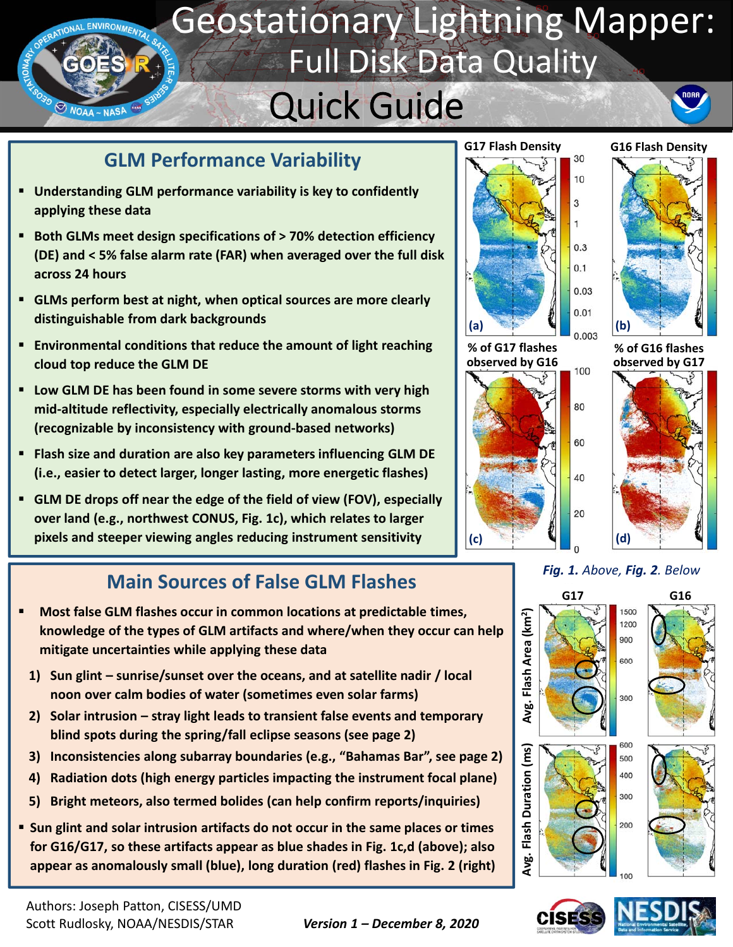### Geostationary Lightning Mapper: RATIONAL ENVIRONMENTA Full Disk Data Quality nonn Quick Guide **WOAA-NASA**

## **GLM Performance Variability**

- **Understanding GLM performance variability is key to confidently applying these data**
- **Both GLMs meet design specifications of > 70% detection efficiency (DE) and < 5% false alarm rate (FAR) when averaged over the full disk across 24 hours**
- **GLMs perform best at night, when optical sources are more clearly distinguishable from dark backgrounds**
- **Environmental conditions that reduce the amount of light reaching cloud top reduce the GLM DE**
- **Low GLM DE has been found in some severe storms with very high mid‐altitude reflectivity, especially electrically anomalous storms (recognizable by inconsistency with ground‐based networks)**
- **Flash size and duration are also key parameters influencing GLM DE (i.e., easier to detect larger, longer lasting, more energetic flashes)**
- **GLM DE drops off near the edge of the field of view (FOV), especially over land (e.g., northwest CONUS, Fig. 1c), which relates to larger pixels and steeper viewing angles reducing instrument sensitivity**

# **Main Sources of False GLM Flashes** Fig. 1. Above, Fig. 2. Below



- **1) Sun glint sunrise/sunset over the oceans, and at satellite nadir / local noon over calm bodies of water (sometimes even solar farms)**
- **2) Solar intrusion stray light leads to transient false events and temporary blind spots during the spring/fall eclipse seasons (see page 2)**
- **3) Inconsistencies along subarray boundaries (e.g., "Bahamas Bar", see page 2)**
- **4) Radiation dots (high energy particles impacting the instrument focal plane)**
- **5) Bright meteors, also termed bolides (can help confirm reports/inquiries)**
- **Sun glint and solar intrusion artifacts do not occur in the same places or times for G16/G17, so these artifacts appear as blue shades in Fig. 1c,d (above); also appear as anomalously small (blue), long duration (red) flashes in Fig. 2 (right)**



**observed by G16**

100

80

60

40

20



**% of G16 flashes observed by G17**